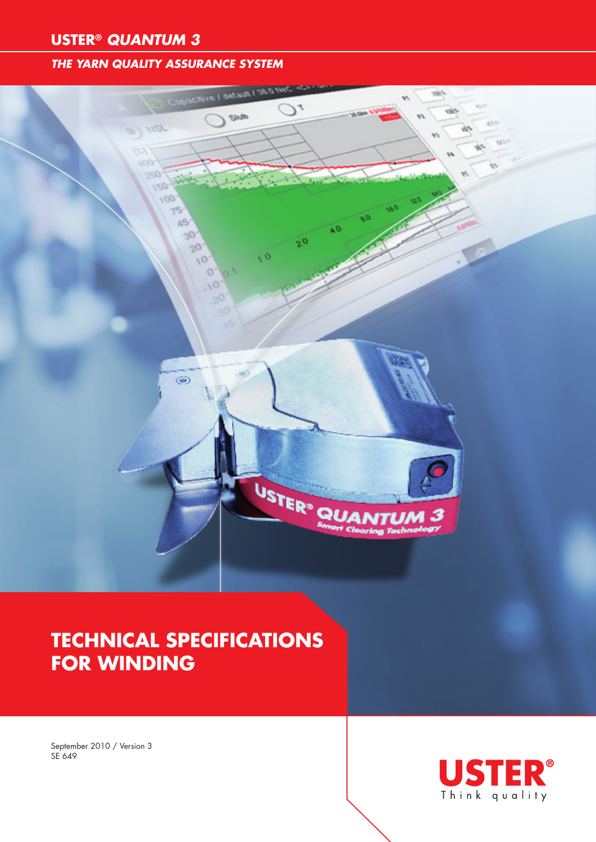### **USTER®** *QUANTUM 3*

### *THE YARN QUALITY ASSURANCE SYSTEM*



# **Technical specifications for winding**

September 2010 / Version 3 SE 649

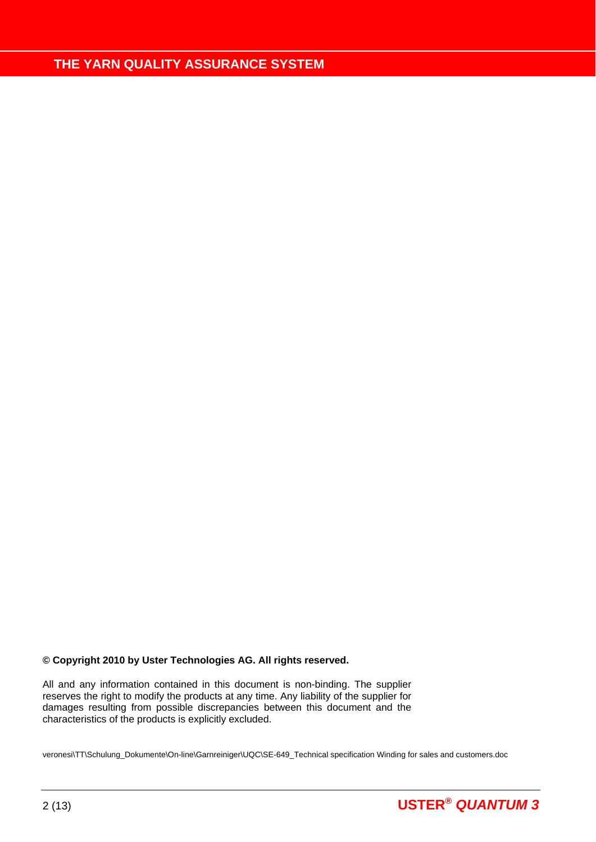#### **© Copyright 2010 by Uster Technologies AG. All rights reserved.**

All and any information contained in this document is non-binding. The supplier reserves the right to modify the products at any time. Any liability of the supplier for damages resulting from possible discrepancies between this document and the characteristics of the products is explicitly excluded.

veronesi\TT\Schulung\_Dokumente\On-line\Garnreiniger\UQC\SE-649\_Technical specification Winding for sales and customers.doc

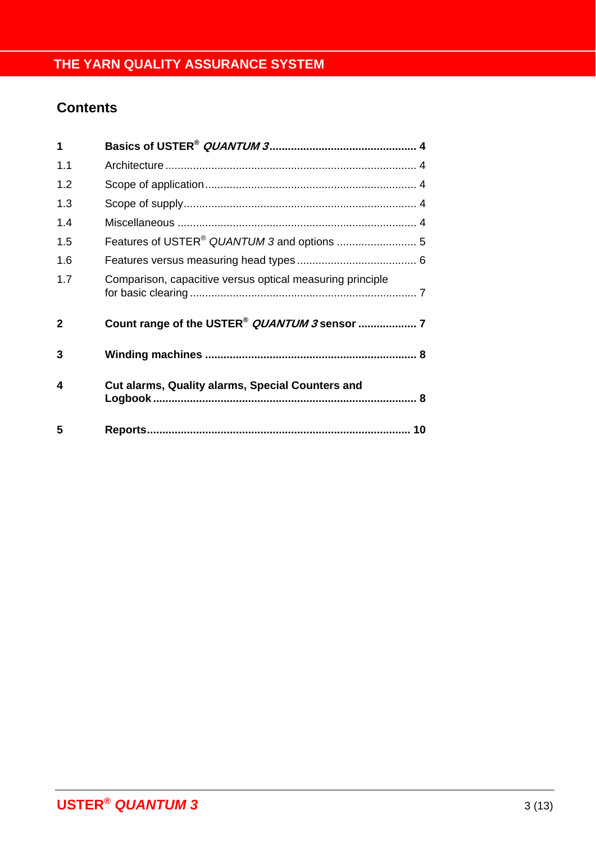## **Contents**

| 1            |                                                           |
|--------------|-----------------------------------------------------------|
| 1.1          |                                                           |
| 1.2          |                                                           |
| 1.3          |                                                           |
| 1.4          |                                                           |
| 1.5          |                                                           |
| 1.6          |                                                           |
| 1.7          | Comparison, capacitive versus optical measuring principle |
| $\mathbf{2}$ | Count range of the USTER <sup>®</sup> QUANTUM 3 sensor  7 |
| 3            |                                                           |
| 4            | <b>Cut alarms, Quality alarms, Special Counters and</b>   |
| 5            |                                                           |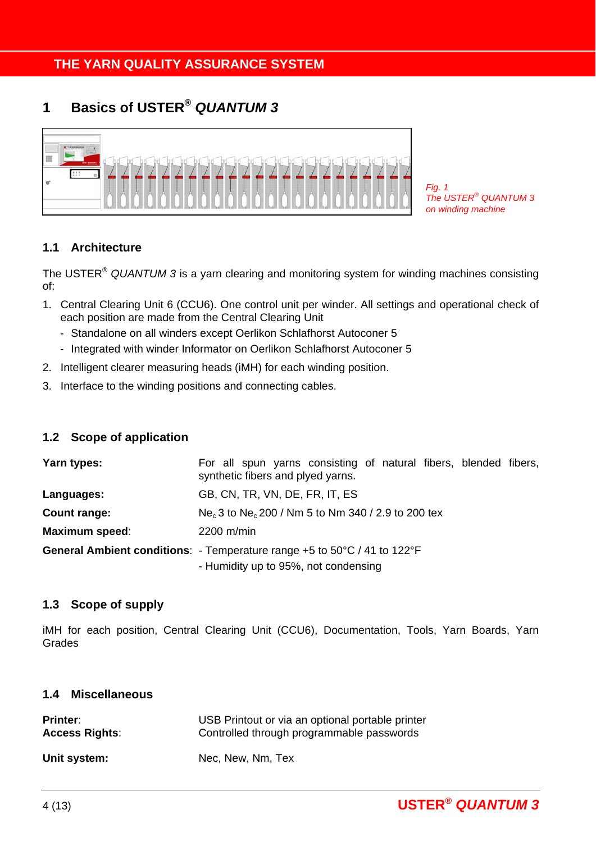## **1 Basics of USTER®** *QUANTUM 3*



*Fig. 1 The USTER® QUANTUM 3 on winding machine* 

### **1.1 Architecture**

The USTER® *QUANTUM 3* is a yarn clearing and monitoring system for winding machines consisting of:

- 1. Central Clearing Unit 6 (CCU6). One control unit per winder. All settings and operational check of each position are made from the Central Clearing Unit
	- Standalone on all winders except Oerlikon Schlafhorst Autoconer 5
	- Integrated with winder Informator on Oerlikon Schlafhorst Autoconer 5
- 2. Intelligent clearer measuring heads (iMH) for each winding position.
- 3. Interface to the winding positions and connecting cables.

### **1.2 Scope of application**

| Yarn types:           | For all spun yarns consisting of natural fibers, blended fibers,<br>synthetic fibers and plyed yarns. |  |  |  |  |  |
|-----------------------|-------------------------------------------------------------------------------------------------------|--|--|--|--|--|
| Languages:            | GB, CN, TR, VN, DE, FR, IT, ES                                                                        |  |  |  |  |  |
| Count range:          | Ne <sub>c</sub> 3 to Ne <sub>c</sub> 200 / Nm 5 to Nm 340 / 2.9 to 200 tex                            |  |  |  |  |  |
| <b>Maximum speed:</b> | 2200 m/min                                                                                            |  |  |  |  |  |
|                       | General Ambient conditions: - Temperature range +5 to 50°C / 41 to 122°F                              |  |  |  |  |  |
|                       | - Humidity up to 95%, not condensing                                                                  |  |  |  |  |  |

### **1.3 Scope of supply**

iMH for each position, Central Clearing Unit (CCU6), Documentation, Tools, Yarn Boards, Yarn Grades

#### **1.4 Miscellaneous**

| <b>Printer:</b>       | USB Printout or via an optional portable printer |
|-----------------------|--------------------------------------------------|
| <b>Access Rights:</b> | Controlled through programmable passwords        |
| Unit system:          | Nec, New, Nm, Tex                                |

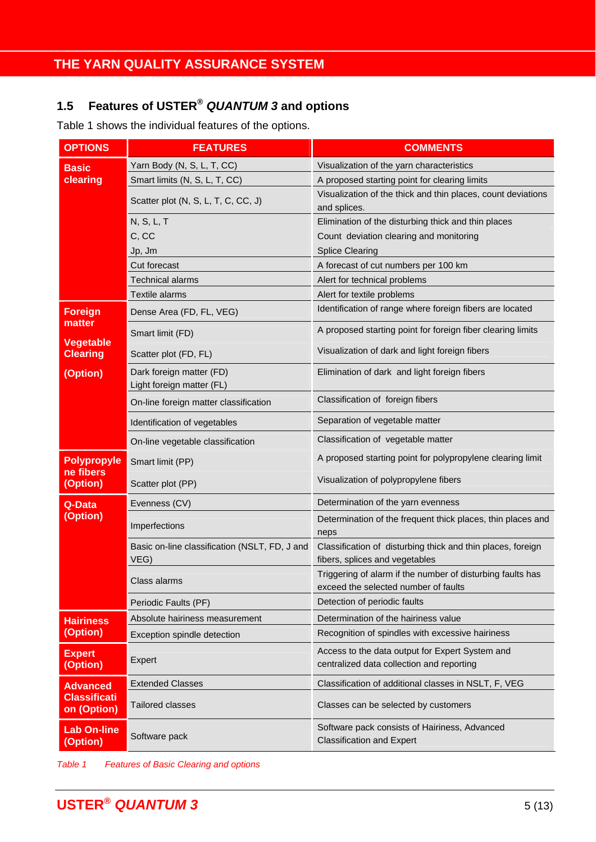## **1.5 Features of USTER®** *QUANTUM 3* **and options**

Table 1 shows the individual features of the options.

| <b>OPTIONS</b>                     | <b>FEATURES</b>                                       | <b>COMMENTS</b>                                                                                    |  |  |  |
|------------------------------------|-------------------------------------------------------|----------------------------------------------------------------------------------------------------|--|--|--|
| <b>Basic</b>                       | Yarn Body (N, S, L, T, CC)                            | Visualization of the yarn characteristics                                                          |  |  |  |
| clearing                           | Smart limits (N, S, L, T, CC)                         | A proposed starting point for clearing limits                                                      |  |  |  |
|                                    | Scatter plot (N, S, L, T, C, CC, J)                   | Visualization of the thick and thin places, count deviations<br>and splices.                       |  |  |  |
|                                    | N, S, L, T                                            | Elimination of the disturbing thick and thin places                                                |  |  |  |
|                                    | C, CC                                                 | Count deviation clearing and monitoring                                                            |  |  |  |
|                                    | Jp, Jm                                                | <b>Splice Clearing</b>                                                                             |  |  |  |
|                                    | Cut forecast                                          | A forecast of cut numbers per 100 km                                                               |  |  |  |
|                                    | <b>Technical alarms</b>                               | Alert for technical problems                                                                       |  |  |  |
|                                    | Textile alarms                                        | Alert for textile problems                                                                         |  |  |  |
| <b>Foreign</b><br>matter           | Dense Area (FD, FL, VEG)                              | Identification of range where foreign fibers are located                                           |  |  |  |
| <b>Vegetable</b>                   | Smart limit (FD)                                      | A proposed starting point for foreign fiber clearing limits                                        |  |  |  |
| <b>Clearing</b>                    | Scatter plot (FD, FL)                                 | Visualization of dark and light foreign fibers                                                     |  |  |  |
| (Option)                           | Dark foreign matter (FD)<br>Light foreign matter (FL) | Elimination of dark and light foreign fibers                                                       |  |  |  |
|                                    | On-line foreign matter classification                 | Classification of foreign fibers                                                                   |  |  |  |
|                                    | Identification of vegetables                          | Separation of vegetable matter                                                                     |  |  |  |
|                                    | On-line vegetable classification                      | Classification of vegetable matter                                                                 |  |  |  |
| <b>Polypropyle</b>                 | Smart limit (PP)                                      | A proposed starting point for polypropylene clearing limit                                         |  |  |  |
| ne fibers<br>(Option)              | Scatter plot (PP)                                     | Visualization of polypropylene fibers                                                              |  |  |  |
| Q-Data                             | Evenness (CV)                                         | Determination of the yarn evenness                                                                 |  |  |  |
| (Option)                           | Imperfections                                         | Determination of the frequent thick places, thin places and<br>neps                                |  |  |  |
|                                    | Basic on-line classification (NSLT, FD, J and<br>VEG) | Classification of disturbing thick and thin places, foreign<br>fibers, splices and vegetables      |  |  |  |
|                                    | Class alarms                                          | Triggering of alarm if the number of disturbing faults has<br>exceed the selected number of faults |  |  |  |
|                                    | Periodic Faults (PF)                                  | Detection of periodic faults                                                                       |  |  |  |
| <b>Hairiness</b>                   | Absolute hairiness measurement                        | Determination of the hairiness value                                                               |  |  |  |
| (Option)                           | Exception spindle detection                           | Recognition of spindles with excessive hairiness                                                   |  |  |  |
| <b>Expert</b><br>(Option)          | Expert                                                | Access to the data output for Expert System and<br>centralized data collection and reporting       |  |  |  |
| <b>Advanced</b>                    | <b>Extended Classes</b>                               | Classification of additional classes in NSLT, F, VEG                                               |  |  |  |
| <b>Classificati</b><br>on (Option) | <b>Tailored classes</b>                               | Classes can be selected by customers                                                               |  |  |  |
| <b>Lab On-line</b><br>(Option)     | Software pack                                         | Software pack consists of Hairiness, Advanced<br><b>Classification and Expert</b>                  |  |  |  |

*Table 1 Features of Basic Clearing and options*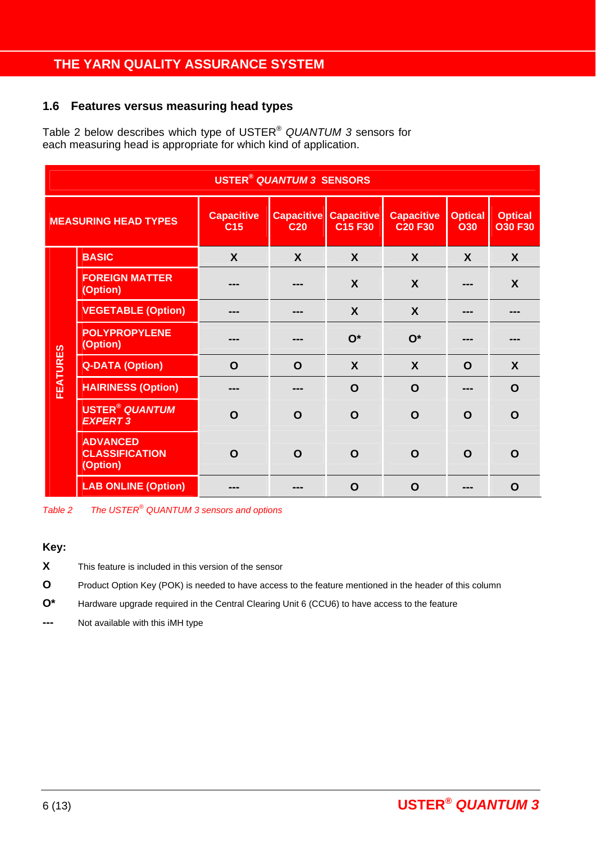### **1.6 Features versus measuring head types**

Table 2 below describes which type of USTER® *QUANTUM 3* sensors for each measuring head is appropriate for which kind of application.

|                                                                                                                                                                                                                                       | <b>USTER<sup>®</sup> QUANTUM 3 SENSORS</b>           |             |             |                           |                  |                                  |                  |  |  |  |
|---------------------------------------------------------------------------------------------------------------------------------------------------------------------------------------------------------------------------------------|------------------------------------------------------|-------------|-------------|---------------------------|------------------|----------------------------------|------------------|--|--|--|
| <b>Capacitive</b><br><b>Capacitive</b><br><b>Capacitive</b><br><b>Capacitive</b><br><b>Optical</b><br><b>MEASURING HEAD TYPES</b><br>C <sub>15</sub> F <sub>30</sub><br><b>C20 F30</b><br>C <sub>15</sub><br><b>O30</b><br><b>C20</b> |                                                      |             |             |                           |                  | <b>Optical</b><br><b>O30 F30</b> |                  |  |  |  |
|                                                                                                                                                                                                                                       | <b>BASIC</b>                                         | X           | X           | X                         | $\boldsymbol{X}$ | X                                | X                |  |  |  |
|                                                                                                                                                                                                                                       | <b>FOREIGN MATTER</b><br>(Option)                    |             |             | X                         | $\boldsymbol{X}$ |                                  | X                |  |  |  |
|                                                                                                                                                                                                                                       | <b>VEGETABLE (Option)</b>                            | ---         | ---         | $\boldsymbol{\mathsf{X}}$ | $\boldsymbol{X}$ | ---                              | ---              |  |  |  |
|                                                                                                                                                                                                                                       | <b>POLYPROPYLENE</b><br>(Option)                     |             |             | $O^*$                     | $O^*$            |                                  |                  |  |  |  |
|                                                                                                                                                                                                                                       | <b>Q-DATA (Option)</b>                               | $\mathbf O$ | $\mathbf O$ | $\boldsymbol{X}$          | $\boldsymbol{X}$ | O                                | $\boldsymbol{X}$ |  |  |  |
| <b>FEATURES</b>                                                                                                                                                                                                                       | <b>HAIRINESS (Option)</b>                            | ---         | ---         | $\mathbf O$               | $\mathbf O$      | ---                              | $\mathbf O$      |  |  |  |
|                                                                                                                                                                                                                                       | <b>USTER<sup>®</sup> QUANTUM</b><br><b>EXPERT 3</b>  | $\mathbf O$ | $\mathbf O$ | O                         | $\mathbf O$      | O                                | O                |  |  |  |
|                                                                                                                                                                                                                                       | <b>ADVANCED</b><br><b>CLASSIFICATION</b><br>(Option) | $\mathbf O$ | $\mathbf O$ | O                         | $\mathbf O$      | $\mathbf O$                      | $\mathbf O$      |  |  |  |
|                                                                                                                                                                                                                                       | <b>LAB ONLINE (Option)</b>                           |             |             | $\mathbf O$               | $\mathbf O$      |                                  | $\mathbf O$      |  |  |  |

*Table 2 The USTER® QUANTUM 3 sensors and options* 

#### **Key:**

**X** This feature is included in this version of the sensor

**O** Product Option Key (POK) is needed to have access to the feature mentioned in the header of this column

**O\*** Hardware upgrade required in the Central Clearing Unit 6 (CCU6) to have access to the feature

**---** Not available with this iMH type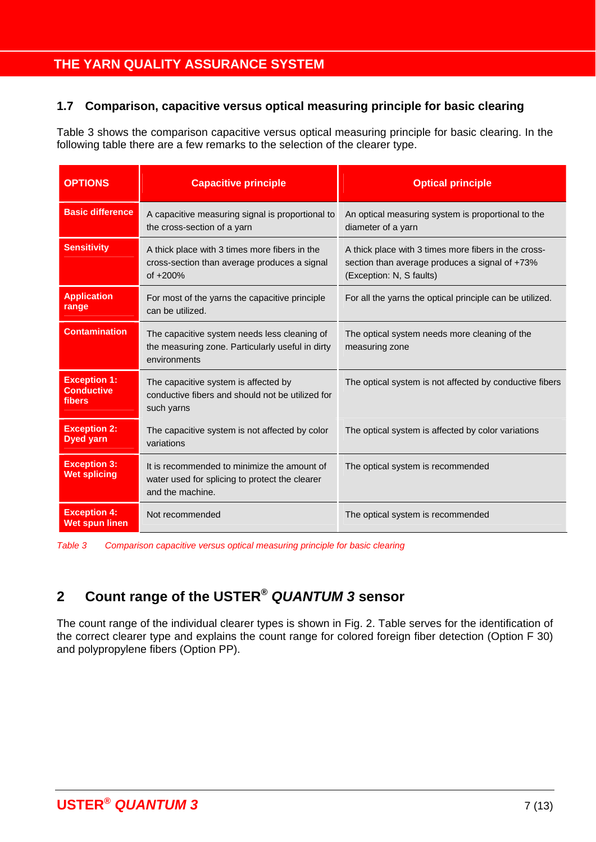### **1.7 Comparison, capacitive versus optical measuring principle for basic clearing**

Table 3 shows the comparison capacitive versus optical measuring principle for basic clearing. In the following table there are a few remarks to the selection of the clearer type.

| <b>OPTIONS</b>                                                                                                                                               | <b>Capacitive principle</b>                                                                                       | <b>Optical principle</b>                                                                                                           |  |  |  |
|--------------------------------------------------------------------------------------------------------------------------------------------------------------|-------------------------------------------------------------------------------------------------------------------|------------------------------------------------------------------------------------------------------------------------------------|--|--|--|
| <b>Basic difference</b>                                                                                                                                      | A capacitive measuring signal is proportional to<br>the cross-section of a yarn                                   | An optical measuring system is proportional to the<br>diameter of a yarn                                                           |  |  |  |
| <b>Sensitivity</b>                                                                                                                                           | A thick place with 3 times more fibers in the<br>cross-section than average produces a signal<br>of +200%         | A thick place with 3 times more fibers in the cross-<br>section than average produces a signal of +73%<br>(Exception: N, S faults) |  |  |  |
| <b>Application</b><br>range                                                                                                                                  | For most of the yarns the capacitive principle<br>can be utilized.                                                | For all the yarns the optical principle can be utilized.                                                                           |  |  |  |
| <b>Contamination</b><br>The capacitive system needs less cleaning of<br>the measuring zone. Particularly useful in dirty<br>environments                     |                                                                                                                   | The optical system needs more cleaning of the<br>measuring zone                                                                    |  |  |  |
| <b>Exception 1:</b><br>The capacitive system is affected by<br><b>Conductive</b><br>conductive fibers and should not be utilized for<br>fibers<br>such yarns |                                                                                                                   | The optical system is not affected by conductive fibers                                                                            |  |  |  |
| <b>Exception 2:</b><br><b>Dyed yarn</b>                                                                                                                      | The capacitive system is not affected by color<br>variations                                                      | The optical system is affected by color variations                                                                                 |  |  |  |
| <b>Exception 3:</b><br><b>Wet splicing</b>                                                                                                                   | It is recommended to minimize the amount of<br>water used for splicing to protect the clearer<br>and the machine. | The optical system is recommended                                                                                                  |  |  |  |
| <b>Exception 4:</b><br><b>Wet spun linen</b>                                                                                                                 | Not recommended                                                                                                   | The optical system is recommended                                                                                                  |  |  |  |

*Table 3 Comparison capacitive versus optical measuring principle for basic clearing* 

## **2 Count range of the USTER®** *QUANTUM 3* **sensor**

The count range of the individual clearer types is shown in Fig. 2. Table serves for the identification of the correct clearer type and explains the count range for colored foreign fiber detection (Option F 30) and polypropylene fibers (Option PP).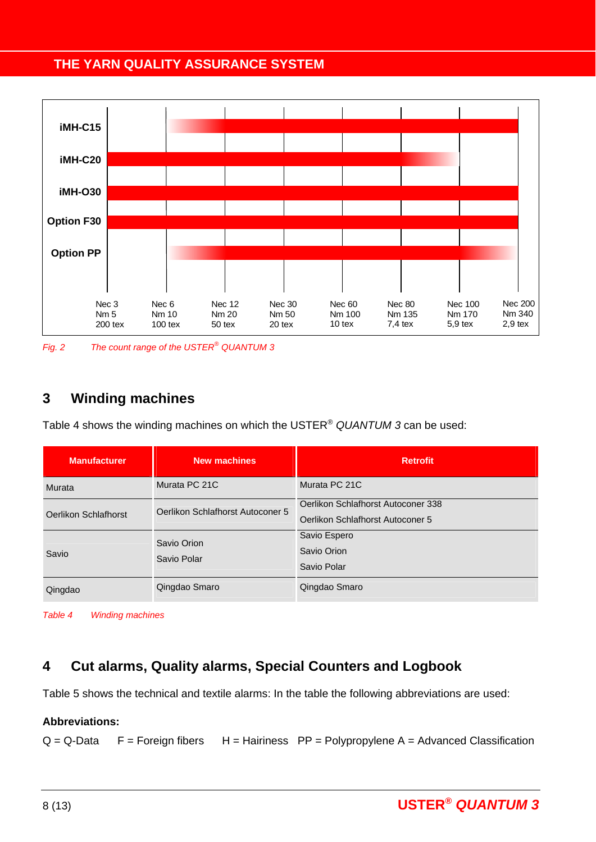

*Fig. 2 The count range of the USTER® QUANTUM 3* 

## **3 Winding machines**

Table 4 shows the winding machines on which the USTER® *QUANTUM 3* can be used:

| <b>Manufacturer</b>  | <b>New machines</b>              | <b>Retrofit</b>                                                        |  |  |
|----------------------|----------------------------------|------------------------------------------------------------------------|--|--|
| Murata               | Murata PC 21C                    | Murata PC 21C                                                          |  |  |
| Oerlikon Schlafhorst | Oerlikon Schlafhorst Autoconer 5 | Oerlikon Schlafhorst Autoconer 338<br>Oerlikon Schlafhorst Autoconer 5 |  |  |
| Savio                | Savio Orion<br>Savio Polar       | Savio Espero<br>Savio Orion<br>Savio Polar                             |  |  |
| Qingdao              | Qingdao Smaro                    | Qingdao Smaro                                                          |  |  |

*Table 4 Winding machines* 

## **4 Cut alarms, Quality alarms, Special Counters and Logbook**

Table 5 shows the technical and textile alarms: In the table the following abbreviations are used:

#### **Abbreviations:**

 $Q = Q$ -Data  $F =$  Foreign fibers  $H =$  Hairiness  $PP =$  Polypropylene A = Advanced Classification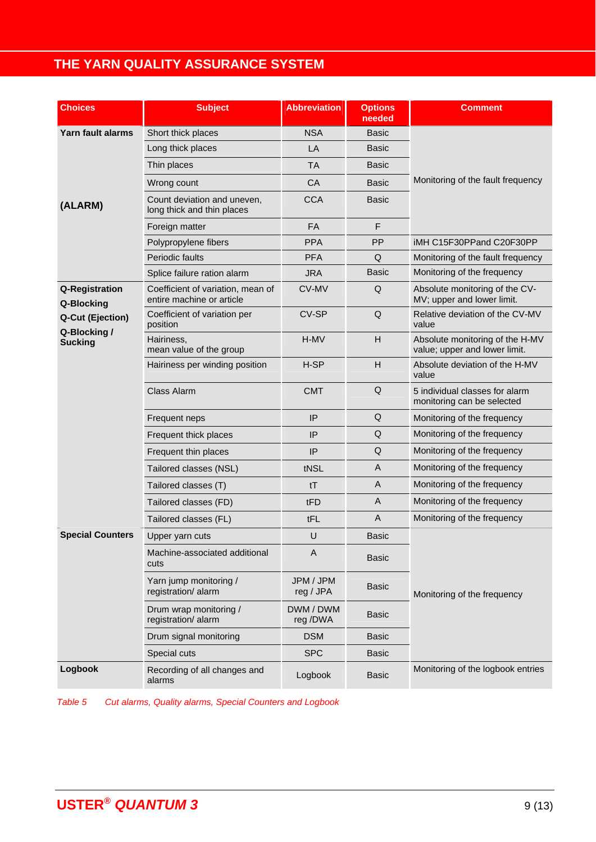| <b>Choices</b>                   | <b>Subject</b>                                                 | <b>Abbreviation</b>    | <b>Options</b><br>needed | <b>Comment</b>                                                   |
|----------------------------------|----------------------------------------------------------------|------------------------|--------------------------|------------------------------------------------------------------|
| Yarn fault alarms                | Short thick places                                             | <b>NSA</b>             | Basic                    |                                                                  |
|                                  | Long thick places                                              | LA                     | Basic                    |                                                                  |
|                                  | Thin places                                                    | <b>TA</b>              | <b>Basic</b>             |                                                                  |
|                                  | Wrong count                                                    | CA                     | <b>Basic</b>             | Monitoring of the fault frequency                                |
| (ALARM)                          | Count deviation and uneven,<br>long thick and thin places      | <b>CCA</b>             | Basic                    |                                                                  |
|                                  | Foreign matter                                                 | FA                     | F                        |                                                                  |
|                                  | Polypropylene fibers                                           | <b>PPA</b>             | <b>PP</b>                | iMH C15F30PPand C20F30PP                                         |
|                                  | <b>Periodic faults</b>                                         | <b>PFA</b>             | Q                        | Monitoring of the fault frequency                                |
|                                  | Splice failure ration alarm                                    | <b>JRA</b>             | <b>Basic</b>             | Monitoring of the frequency                                      |
| Q-Registration<br>Q-Blocking     | Coefficient of variation, mean of<br>entire machine or article | CV-MV                  | Q                        | Absolute monitoring of the CV-<br>MV; upper and lower limit.     |
| Q-Cut (Ejection)<br>Q-Blocking / | Coefficient of variation per<br>position                       | CV-SP                  | Q                        | Relative deviation of the CV-MV<br>value                         |
| <b>Sucking</b>                   | Hairiness,<br>mean value of the group                          | H-MV                   | H                        | Absolute monitoring of the H-MV<br>value; upper and lower limit. |
|                                  | Hairiness per winding position                                 | H-SP                   | H                        | Absolute deviation of the H-MV<br>value                          |
|                                  | Class Alarm                                                    | <b>CMT</b>             | Q                        | 5 individual classes for alarm<br>monitoring can be selected     |
|                                  | Frequent neps                                                  | IP                     | Q                        | Monitoring of the frequency                                      |
|                                  | Frequent thick places                                          | IP                     | Q                        | Monitoring of the frequency                                      |
|                                  | Frequent thin places                                           | IP                     | Q                        | Monitoring of the frequency                                      |
|                                  | Tailored classes (NSL)                                         | tNSL                   | A                        | Monitoring of the frequency                                      |
|                                  | Tailored classes (T)                                           | tT                     | A                        | Monitoring of the frequency                                      |
|                                  | Tailored classes (FD)                                          | tFD                    | A                        | Monitoring of the frequency                                      |
|                                  | Tailored classes (FL)                                          | tFL                    | $\overline{A}$           | Monitoring of the frequency                                      |
| <b>Special Counters</b>          | Upper yarn cuts                                                | U                      | <b>Basic</b>             |                                                                  |
|                                  | Machine-associated additional<br>cuts                          | A                      | <b>Basic</b>             |                                                                  |
|                                  | Yarn jump monitoring /<br>registration/alarm                   | JPM / JPM<br>reg / JPA | <b>Basic</b>             | Monitoring of the frequency                                      |
|                                  | Drum wrap monitoring /<br>registration/alarm                   | DWM / DWM<br>reg /DWA  | Basic                    |                                                                  |
|                                  | Drum signal monitoring                                         | <b>DSM</b>             | <b>Basic</b>             |                                                                  |
|                                  | Special cuts                                                   | <b>SPC</b>             | <b>Basic</b>             |                                                                  |
| Logbook                          | Recording of all changes and<br>alarms                         | Logbook                | <b>Basic</b>             | Monitoring of the logbook entries                                |

*Table 5 Cut alarms, Quality alarms, Special Counters and Logbook*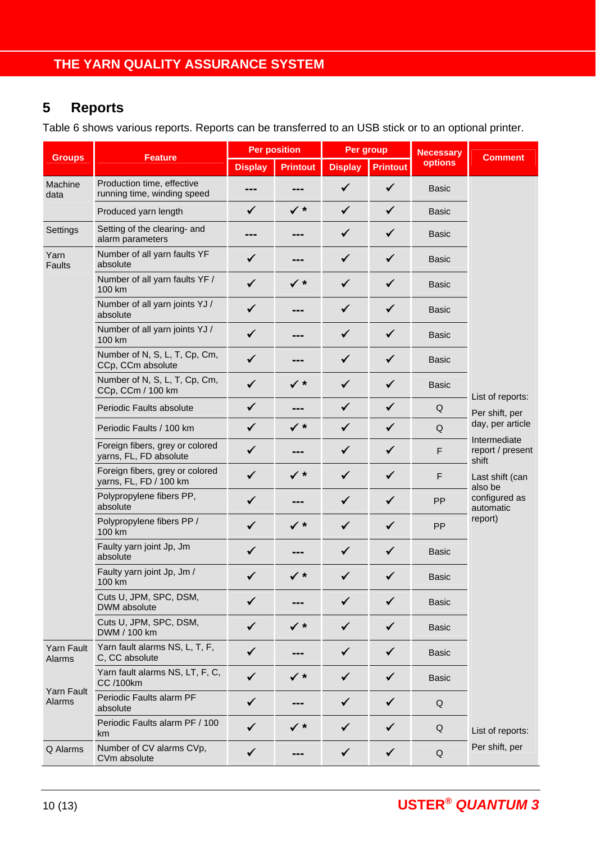## **5 Reports**

Table 6 shows various reports. Reports can be transferred to an USB stick or to an optional printer.

|                      | <b>Feature</b>                                            | <b>Per position</b> |                 | Per group      |                 | <b>Necessary</b> |                                           |
|----------------------|-----------------------------------------------------------|---------------------|-----------------|----------------|-----------------|------------------|-------------------------------------------|
| <b>Groups</b>        |                                                           | <b>Display</b>      | <b>Printout</b> | <b>Display</b> | <b>Printout</b> | options          | <b>Comment</b>                            |
| Machine<br>data      | Production time, effective<br>running time, winding speed | ---                 | ---             | ✓              | $\checkmark$    | <b>Basic</b>     |                                           |
|                      | Produced yarn length                                      | $\checkmark$        | $\checkmark$ *  | $\checkmark$   | $\checkmark$    | Basic            |                                           |
| Settings             | Setting of the clearing- and<br>alarm parameters          | ---                 | ---             | $\checkmark$   | $\checkmark$    | <b>Basic</b>     |                                           |
| Yarn<br>Faults       | Number of all yarn faults YF<br>absolute                  | $\checkmark$        | ---             | $\checkmark$   | $\checkmark$    | <b>Basic</b>     |                                           |
|                      | Number of all yarn faults YF /<br>100 km                  | $\checkmark$        | $\checkmark$ *  | $\checkmark$   | $\checkmark$    | <b>Basic</b>     |                                           |
|                      | Number of all yarn joints YJ /<br>absolute                | $\checkmark$        | ---             | ✓              | $\checkmark$    | <b>Basic</b>     |                                           |
|                      | Number of all yarn joints YJ /<br>100 km                  | $\checkmark$        | ---             | ✓              | $\checkmark$    | <b>Basic</b>     |                                           |
|                      | Number of N, S, L, T, Cp, Cm,<br>CCp, CCm absolute        | ✓                   | ---             | ✓              | $\checkmark$    | <b>Basic</b>     |                                           |
|                      | Number of N, S, L, T, Cp, Cm,<br>CCp, CCm / 100 km        | ✓                   | $\checkmark$ *  | $\checkmark$   | $\checkmark$    | <b>Basic</b>     |                                           |
|                      | Periodic Faults absolute                                  | $\checkmark$        | ---             | $\checkmark$   | $\checkmark$    | Q                | List of reports:<br>Per shift, per        |
|                      | Periodic Faults / 100 km                                  | $\checkmark$        | $\checkmark$ *  | $\checkmark$   | $\checkmark$    | Q                | day, per article                          |
|                      | Foreign fibers, grey or colored<br>yarns, FL, FD absolute | $\checkmark$        |                 | $\checkmark$   | $\checkmark$    | F                | Intermediate<br>report / present<br>shift |
|                      | Foreign fibers, grey or colored<br>yarns, FL, FD / 100 km | $\checkmark$        | $\checkmark$ *  | $\checkmark$   | $\checkmark$    | F                | Last shift (can<br>also be                |
|                      | Polypropylene fibers PP,<br>absolute                      | ✓                   |                 | ✓              | $\checkmark$    | PP               | configured as<br>automatic                |
|                      | Polypropylene fibers PP /<br>100 km                       | $\checkmark$        | $\checkmark$ *  | ✓              | $\checkmark$    | <b>PP</b>        | report)                                   |
|                      | Faulty yarn joint Jp, Jm<br>absolute                      | ✓                   |                 | ✓              | $\checkmark$    | <b>Basic</b>     |                                           |
|                      | Faulty yarn joint Jp, Jm /<br>100 km                      | ✓                   | $\checkmark$ *  |                | ✓               | <b>Basic</b>     |                                           |
|                      | Cuts U, JPM, SPC, DSM,<br>DWM absolute                    | ✓                   |                 | ✓              | ✔               | <b>Basic</b>     |                                           |
|                      | Cuts U, JPM, SPC, DSM,<br>DWM / 100 km                    | $\checkmark$        | $\checkmark$ *  | ✓              | ✓               | <b>Basic</b>     |                                           |
| Yarn Fault<br>Alarms | Yarn fault alarms NS, L, T, F,<br>C, CC absolute          | ✓                   |                 | ✓              | ✓               | <b>Basic</b>     |                                           |
|                      | Yarn fault alarms NS, LT, F, C,<br><b>CC</b> /100km       | $\checkmark$        | $\checkmark$ *  | ✓              | $\checkmark$    | <b>Basic</b>     |                                           |
| Yarn Fault<br>Alarms | Periodic Faults alarm PF<br>absolute                      | $\checkmark$        |                 | $\checkmark$   | $\checkmark$    | Q                |                                           |
|                      | Periodic Faults alarm PF / 100<br>km                      | ✓                   | ✓∗              | ✓              | ✔               | Q                | List of reports:                          |
| Q Alarms             | Number of CV alarms CVp,<br>CVm absolute                  | ✓                   |                 | $\checkmark$   | $\checkmark$    | Q                | Per shift, per                            |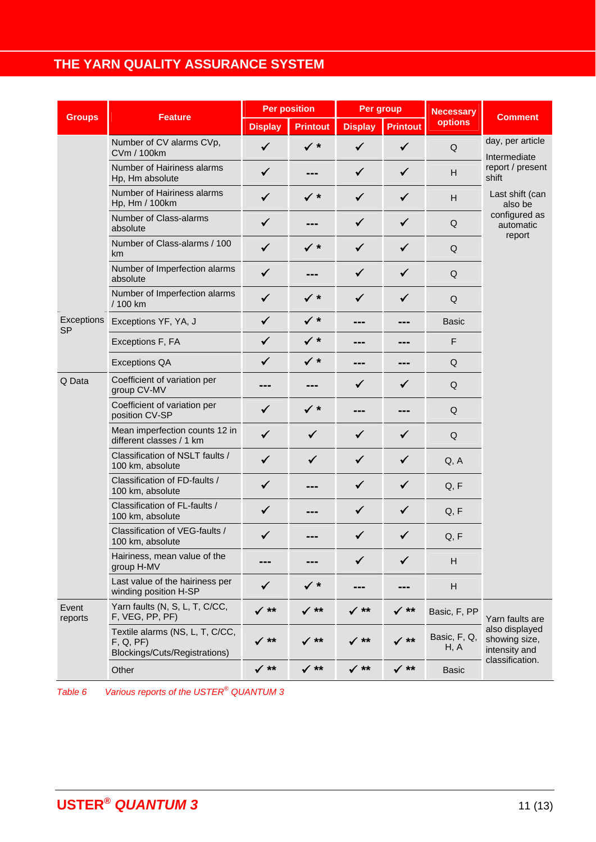|                         | <b>Feature</b>                                                               | <b>Per position</b> |                 | Per group       |                 | <b>Necessary</b>     | <b>Comment</b>                                   |
|-------------------------|------------------------------------------------------------------------------|---------------------|-----------------|-----------------|-----------------|----------------------|--------------------------------------------------|
| <b>Groups</b>           |                                                                              | <b>Display</b>      | <b>Printout</b> | <b>Display</b>  | <b>Printout</b> | <b>options</b>       |                                                  |
|                         | Number of CV alarms CVp,<br><b>CVm / 100km</b>                               | $\checkmark$        | $\checkmark$ *  | $\checkmark$    | $\checkmark$    | $\sf Q$              | day, per article<br>Intermediate                 |
|                         | Number of Hairiness alarms<br>Hp, Hm absolute                                | $\checkmark$        |                 | $\checkmark$    | $\checkmark$    | H                    | report / present<br>shift                        |
|                         | Number of Hairiness alarms<br>Hp, Hm / 100km                                 | $\checkmark$        | $\checkmark$ *  | ✓               | $\checkmark$    | H                    | Last shift (can<br>also be                       |
|                         | Number of Class-alarms<br>absolute                                           | $\checkmark$        |                 | $\checkmark$    | $\checkmark$    | $\sf Q$              | configured as<br>automatic                       |
|                         | Number of Class-alarms / 100<br>km                                           | $\checkmark$        | $\checkmark$ *  | $\checkmark$    | $\checkmark$    | $\mathsf Q$          | report                                           |
|                         | Number of Imperfection alarms<br>absolute                                    | $\checkmark$        | ---             | $\checkmark$    | $\checkmark$    | $\mathsf Q$          |                                                  |
|                         | Number of Imperfection alarms<br>/ 100 km                                    | $\checkmark$        | $\checkmark$ *  | $\checkmark$    | $\checkmark$    | $\mathsf Q$          |                                                  |
| Exceptions<br><b>SP</b> | Exceptions YF, YA, J                                                         | $\checkmark$        | $\checkmark$ *  | ---             | ---             | <b>Basic</b>         |                                                  |
|                         | Exceptions F, FA                                                             | $\checkmark$        | $\checkmark$ *  | ---             | ---             | F                    |                                                  |
|                         | <b>Exceptions QA</b>                                                         | $\checkmark$        | $\checkmark$ *  | ---             | ---             | $\sf Q$              |                                                  |
| Q Data                  | Coefficient of variation per<br>group CV-MV                                  |                     |                 | $\checkmark$    | ✓               | Q                    |                                                  |
|                         | Coefficient of variation per<br>position CV-SP                               | $\checkmark$        | $\checkmark$ *  |                 |                 | $\sf Q$              |                                                  |
|                         | Mean imperfection counts 12 in<br>different classes / 1 km                   | $\checkmark$        | $\checkmark$    | $\checkmark$    | $\checkmark$    | Q                    |                                                  |
|                         | Classification of NSLT faults /<br>100 km, absolute                          | $\checkmark$        | $\checkmark$    | $\checkmark$    | $\checkmark$    | Q, A                 |                                                  |
|                         | Classification of FD-faults /<br>100 km, absolute                            | $\checkmark$        |                 |                 | ✓               | Q, F                 |                                                  |
|                         | Classification of FL-faults /<br>100 km, absolute                            | $\checkmark$        |                 | ✔               | ✓               | Q, F                 |                                                  |
|                         | Classification of VEG-faults /<br>100 km, absolute                           | ✓                   |                 | ✓               | $\checkmark$    | Q, F                 |                                                  |
|                         | Hairiness, mean value of the<br>group H-MV                                   |                     |                 | $\checkmark$    | $\checkmark$    | H                    |                                                  |
|                         | Last value of the hairiness per<br>winding position H-SP                     | $\checkmark$        | $\checkmark$ *  | ---             | ---             | H                    |                                                  |
| Event<br>reports        | Yarn faults (N, S, L, T, C/CC,<br>F, VEG, PP, PF)                            | ✓ **                | $\checkmark$ ** | $\checkmark$ ** | √ **            | Basic, F, PP         | Yarn faults are                                  |
|                         | Textile alarms (NS, L, T, C/CC,<br>F, Q, PF<br>Blockings/Cuts/Registrations) | ✓ **                | ✓ **            | ✓ **            | $\big/$ **      | Basic, F, Q,<br>H, A | also displayed<br>showing size,<br>intensity and |
|                         | Other                                                                        | $\checkmark$ **     | $\checkmark$ ** | $\checkmark$ ** | $\checkmark$ ** | <b>Basic</b>         | classification.                                  |

*Table 6 Various reports of the USTER® QUANTUM 3*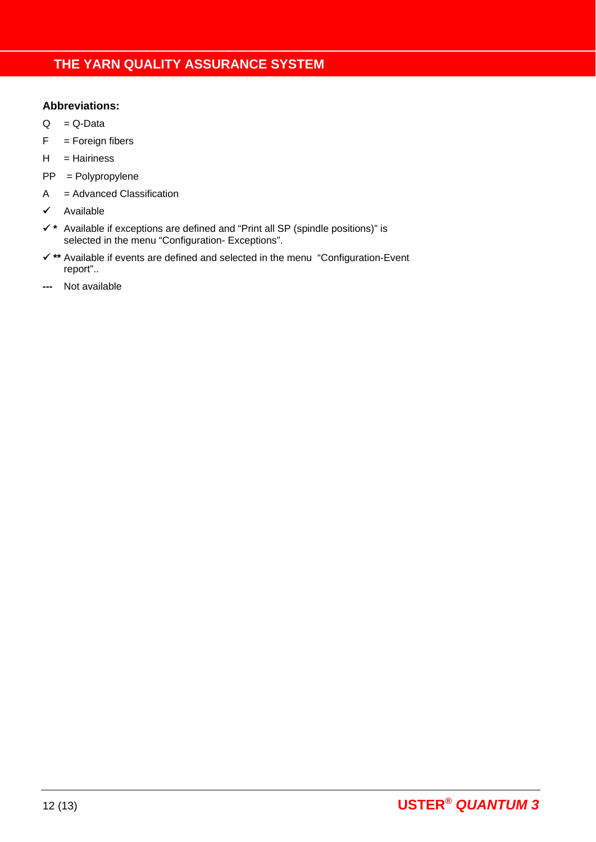### **Abbreviations:**

- $Q = Q$ -Data
- $F =$  Foreign fibers
- H = Hairiness
- PP = Polypropylene
- A = Advanced Classification
- $\checkmark$  Available
- **\*** Available if exceptions are defined and "Print all SP (spindle positions)" is selected in the menu "Configuration- Exceptions".
- **\*\*** Available if events are defined and selected in the menu "Configuration-Event report"..
- Not available